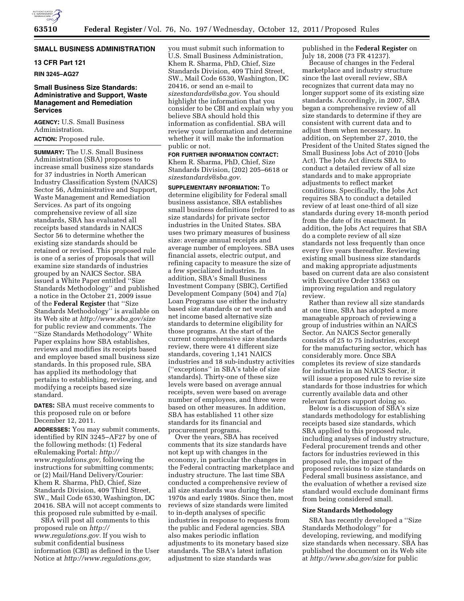

# **SMALL BUSINESS ADMINISTRATION**

# **13 CFR Part 121**

**RIN 3245–AG27** 

### **Small Business Size Standards: Administrative and Support, Waste Management and Remediation Services**

**AGENCY:** U.S. Small Business Administration. **ACTION:** Proposed rule.

**SUMMARY:** The U.S. Small Business Administration (SBA) proposes to increase small business size standards for 37 industries in North American Industry Classification System (NAICS) Sector 56, Administrative and Support, Waste Management and Remediation Services. As part of its ongoing comprehensive review of all size standards, SBA has evaluated all receipts based standards in NAICS Sector 56 to determine whether the existing size standards should be retained or revised. This proposed rule is one of a series of proposals that will examine size standards of industries grouped by an NAICS Sector. SBA issued a White Paper entitled ''Size Standards Methodology'' and published a notice in the October 21, 2009 issue of the **Federal Register** that ''Size Standards Methodology'' is available on its Web site at *<http://www.sba.gov/size>* for public review and comments. The ''Size Standards Methodology'' White Paper explains how SBA establishes, reviews and modifies its receipts based and employee based small business size standards. In this proposed rule, SBA has applied its methodology that pertains to establishing, reviewing, and modifying a receipts based size standard.

**DATES:** SBA must receive comments to this proposed rule on or before December 12, 2011.

**ADDRESSES:** You may submit comments, identified by RIN 3245–AF27 by one of the following methods: (1) Federal eRulemaking Portal: *[http://](http://www.regulations.gov) [www.regulations.gov,](http://www.regulations.gov)* following the instructions for submitting comments; or (2) Mail/Hand Delivery/Courier: Khem R. Sharma, PhD, Chief, Size Standards Division, 409 Third Street, SW., Mail Code 6530, Washington, DC 20416. SBA will not accept comments to this proposed rule submitted by e-mail.

SBA will post all comments to this proposed rule on *[http://](http://www.regulations.gov) [www.regulations.gov.](http://www.regulations.gov)* If you wish to submit confidential business information (CBI) as defined in the User Notice at *[http://www.regulations.gov,](http://www.regulations.gov)* 

you must submit such information to U.S. Small Business Administration, Khem R. Sharma, PhD, Chief, Size Standards Division, 409 Third Street, SW., Mail Code 6530, Washington, DC 20416, or send an e-mail to *[sizestandards@sba.gov.](mailto:sizestandards@sba.gov)* You should highlight the information that you consider to be CBI and explain why you believe SBA should hold this information as confidential. SBA will review your information and determine whether it will make the information public or not.

**FOR FURTHER INFORMATION CONTACT:**  Khem R. Sharma, PhD, Chief, Size Standards Division, (202) 205–6618 or *[sizestandards@sba.gov](mailto:sizestandards@sba.gov)*.

**SUPPLEMENTARY INFORMATION:** To determine eligibility for Federal small business assistance, SBA establishes small business definitions (referred to as size standards) for private sector industries in the United States. SBA uses two primary measures of business size: average annual receipts and average number of employees. SBA uses financial assets, electric output, and refining capacity to measure the size of a few specialized industries. In addition, SBA's Small Business Investment Company (SBIC), Certified Development Company (504) and 7(a) Loan Programs use either the industry based size standards or net worth and net income based alternative size standards to determine eligibility for those programs. At the start of the current comprehensive size standards review, there were 41 different size standards, covering 1,141 NAICS industries and 18 sub-industry activities (''exceptions'' in SBA's table of size standards). Thirty-one of these size levels were based on average annual receipts, seven were based on average number of employees, and three were based on other measures. In addition, SBA has established 11 other size standards for its financial and procurement programs.

Over the years, SBA has received comments that its size standards have not kept up with changes in the economy, in particular the changes in the Federal contracting marketplace and industry structure. The last time SBA conducted a comprehensive review of all size standards was during the late 1970s and early 1980s. Since then, most reviews of size standards were limited to in-depth analyses of specific industries in response to requests from the public and Federal agencies. SBA also makes periodic inflation adjustments to its monetary based size standards. The SBA's latest inflation adjustment to size standards was

published in the **Federal Register** on July 18, 2008 (73 FR 41237).

Because of changes in the Federal marketplace and industry structure since the last overall review, SBA recognizes that current data may no longer support some of its existing size standards. Accordingly, in 2007, SBA began a comprehensive review of all size standards to determine if they are consistent with current data and to adjust them when necessary. In addition, on September 27, 2010, the President of the United States signed the Small Business Jobs Act of 2010 (Jobs Act). The Jobs Act directs SBA to conduct a detailed review of all size standards and to make appropriate adjustments to reflect market conditions. Specifically, the Jobs Act requires SBA to conduct a detailed review of at least one-third of all size standards during every 18-month period from the date of its enactment. In addition, the Jobs Act requires that SBA do a complete review of all size standards not less frequently than once every five years thereafter. Reviewing existing small business size standards and making appropriate adjustments based on current data are also consistent with Executive Order 13563 on improving regulation and regulatory review.

Rather than review all size standards at one time, SBA has adopted a more manageable approach of reviewing a group of industries within an NAICS Sector. An NAICS Sector generally consists of 25 to 75 industries, except for the manufacturing sector, which has considerably more. Once SBA completes its review of size standards for industries in an NAICS Sector, it will issue a proposed rule to revise size standards for those industries for which currently available data and other relevant factors support doing so.

Below is a discussion of SBA's size standards methodology for establishing receipts based size standards, which SBA applied to this proposed rule, including analyses of industry structure, Federal procurement trends and other factors for industries reviewed in this proposed rule, the impact of the proposed revisions to size standards on Federal small business assistance, and the evaluation of whether a revised size standard would exclude dominant firms from being considered small.

### **Size Standards Methodology**

SBA has recently developed a ''Size Standards Methodology'' for developing, reviewing, and modifying size standards when necessary. SBA has published the document on its Web site at *<http://www.sba.gov/size>* for public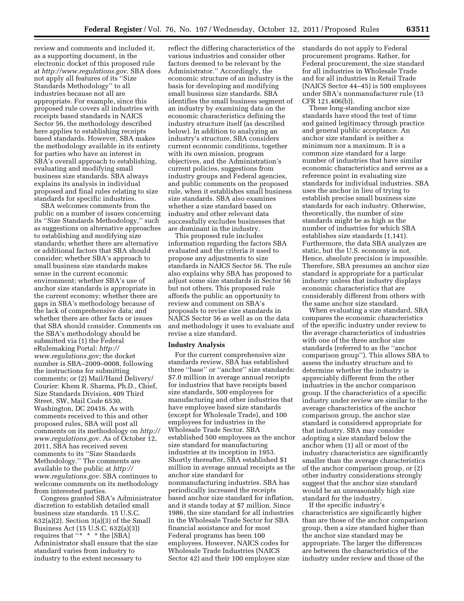review and comments and included it, as a supporting document, in the electronic docket of this proposed rule at *<http://www.regulations.gov>*. SBA does not apply all features of its ''Size Standards Methodology'' to all industries because not all are appropriate. For example, since this proposed rule covers all industries with receipts based standards in NAICS Sector 56, the methodology described here applies to establishing receipts based standards. However, SBA makes the methodology available in its entirety for parties who have an interest in SBA's overall approach to establishing, evaluating and modifying small business size standards. SBA always explains its analysis in individual proposed and final rules relating to size standards for specific industries.

SBA welcomes comments from the public on a number of issues concerning its ''Size Standards Methodology,'' such as suggestions on alternative approaches to establishing and modifying size standards; whether there are alternative or additional factors that SBA should consider; whether SBA's approach to small business size standards makes sense in the current economic environment; whether SBA's use of anchor size standards is appropriate in the current economy; whether there are gaps in SBA's methodology because of the lack of comprehensive data; and whether there are other facts or issues that SBA should consider. Comments on the SBA's methodology should be submitted via (1) the Federal eRulemaking Portal: *[http://](http://www.regulations.gov) [www.regulations.gov;](http://www.regulations.gov)* the docket number is SBA–2009–0008, following the instructions for submitting comments; or (2) Mail/Hand Delivery/ Courier: Khem R. Sharma, Ph.D., Chief, Size Standards Division, 409 Third Street, SW, Mail Code 6530, Washington, DC 20416. As with comments received to this and other proposed rules, SBA will post all comments on its methodology on *[http://](http://www.regulations.gov) [www.regulations.gov.](http://www.regulations.gov)* As of October 12, 2011, SBA has received seven comments to its ''Size Standards Methodology.'' The comments are available to the public at *[http://](http://www.regulations.gov)  [www.regulations.gov](http://www.regulations.gov)*. SBA continues to welcome comments on its methodology from interested parties.

Congress granted SBA's Administrator discretion to establish detailed small business size standards. 15 U.S.C.  $632(a)(2)$ . Section  $3(a)(3)$  of the Small Business Act (15 U.S.C. 632(a)(3)) requires that  $** * *$  the [SBA] Administrator shall ensure that the size standard varies from industry to industry to the extent necessary to

reflect the differing characteristics of the various industries and consider other factors deemed to be relevant by the Administrator.'' Accordingly, the economic structure of an industry is the basis for developing and modifying small business size standards. SBA identifies the small business segment of an industry by examining data on the economic characteristics defining the industry structure itself (as described below). In addition to analyzing an industry's structure, SBA considers current economic conditions, together with its own mission, program objectives, and the Administration's current policies, suggestions from industry groups and Federal agencies, and public comments on the proposed rule, when it establishes small business size standards. SBA also examines whether a size standard based on industry and other relevant data successfully excludes businesses that are dominant in the industry.

This proposed rule includes information regarding the factors SBA evaluated and the criteria it used to propose any adjustments to size standards in NAICS Sector 56. The rule also explains why SBA has proposed to adjust some size standards in Sector 56 but not others. This proposed rule affords the public an opportunity to review and comment on SBA's proposals to revise size standards in NAICS Sector 56 as well as on the data and methodology it uses to evaluate and revise a size standard.

#### **Industry Analysis**

For the current comprehensive size standards review, SBA has established three ''base'' or ''anchor'' size standards: \$7.0 million in average annual receipts for industries that have receipts based size standards, 500 employees for manufacturing and other industries that have employee based size standards (except for Wholesale Trade), and 100 employees for industries in the Wholesale Trade Sector. SBA established 500 employees as the anchor size standard for manufacturing industries at its inception in 1953. Shortly thereafter, SBA established \$1 million in average annual receipts as the anchor size standard for nonmanufacturing industries. SBA has periodically increased the receipts based anchor size standard for inflation, and it stands today at \$7 million. Since 1986, the size standard for all industries in the Wholesale Trade Sector for SBA financial assistance and for most Federal programs has been 100 employees. However, NAICS codes for Wholesale Trade Industries (NAICS Sector 42) and their 100 employee size

standards do not apply to Federal procurement programs. Rather, for Federal procurement, the size standard for all industries in Wholesale Trade and for all industries in Retail Trade (NAICS Sector 44–45) is 500 employees under SBA's nonmanufacturer rule (13 CFR 121.406(b)).

These long-standing anchor size standards have stood the test of time and gained legitimacy through practice and general public acceptance. An anchor size standard is neither a minimum nor a maximum. It is a common size standard for a large number of industries that have similar economic characteristics and serves as a reference point in evaluating size standards for individual industries. SBA uses the anchor in lieu of trying to establish precise small business size standards for each industry. Otherwise, theoretically, the number of size standards might be as high as the number of industries for which SBA establishes size standards (1,141). Furthermore, the data SBA analyzes are static, but the U.S. economy is not. Hence, absolute precision is impossible. Therefore, SBA presumes an anchor size standard is appropriate for a particular industry unless that industry displays economic characteristics that are considerably different from others with the same anchor size standard.

When evaluating a size standard, SBA compares the economic characteristics of the specific industry under review to the average characteristics of industries with one of the three anchor size standards (referred to as the ''anchor comparison group''). This allows SBA to assess the industry structure and to determine whether the industry is appreciably different from the other industries in the anchor comparison group. If the characteristics of a specific industry under review are similar to the average characteristics of the anchor comparison group, the anchor size standard is considered appropriate for that industry. SBA may consider adopting a size standard below the anchor when (1) all or most of the industry characteristics are significantly smaller than the average characteristics of the anchor comparison group, or (2) other industry considerations strongly suggest that the anchor size standard would be an unreasonably high size standard for the industry.

If the specific industry's characteristics are significantly higher than are those of the anchor comparison group, then a size standard higher than the anchor size standard may be appropriate. The larger the differences are between the characteristics of the industry under review and those of the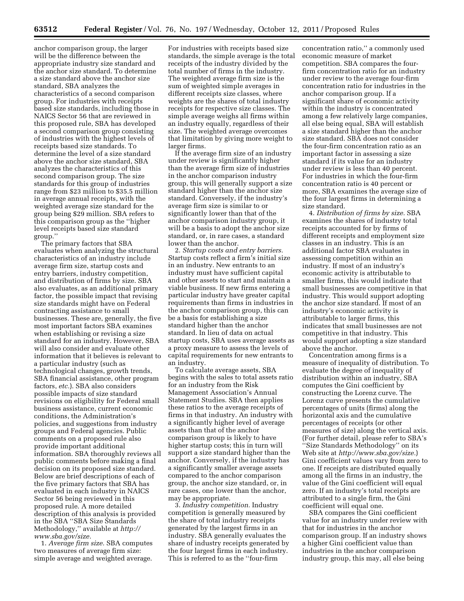anchor comparison group, the larger will be the difference between the appropriate industry size standard and the anchor size standard. To determine a size standard above the anchor size standard, SBA analyzes the characteristics of a second comparison group. For industries with receipts based size standards, including those in NAICS Sector 56 that are reviewed in this proposed rule, SBA has developed a second comparison group consisting of industries with the highest levels of receipts based size standards. To determine the level of a size standard above the anchor size standard, SBA analyzes the characteristics of this second comparison group. The size standards for this group of industries range from \$23 million to \$35.5 million in average annual receipts, with the weighted average size standard for the group being \$29 million. SBA refers to this comparison group as the ''higher level receipts based size standard group.''

The primary factors that SBA evaluates when analyzing the structural characteristics of an industry include average firm size, startup costs and entry barriers, industry competition, and distribution of firms by size. SBA also evaluates, as an additional primary factor, the possible impact that revising size standards might have on Federal contracting assistance to small businesses. These are, generally, the five most important factors SBA examines when establishing or revising a size standard for an industry. However, SBA will also consider and evaluate other information that it believes is relevant to a particular industry (such as technological changes, growth trends, SBA financial assistance, other program factors, *etc.*). SBA also considers possible impacts of size standard revisions on eligibility for Federal small business assistance, current economic conditions, the Administration's policies, and suggestions from industry groups and Federal agencies. Public comments on a proposed rule also provide important additional information. SBA thoroughly reviews all public comments before making a final decision on its proposed size standard. Below are brief descriptions of each of the five primary factors that SBA has evaluated in each industry in NAICS Sector 56 being reviewed in this proposed rule. A more detailed description of this analysis is provided in the SBA ''SBA Size Standards Methodology,'' available at *[http://](http://www.sba.gov/size) [www.sba.gov/size.](http://www.sba.gov/size)* 

1. *Average firm size.* SBA computes two measures of average firm size: simple average and weighted average.

For industries with receipts based size standards, the simple average is the total receipts of the industry divided by the total number of firms in the industry. The weighted average firm size is the sum of weighted simple averages in different receipts size classes, where weights are the shares of total industry receipts for respective size classes. The simple average weighs all firms within an industry equally, regardless of their size. The weighted average overcomes that limitation by giving more weight to larger firms.

If the average firm size of an industry under review is significantly higher than the average firm size of industries in the anchor comparison industry group, this will generally support a size standard higher than the anchor size standard. Conversely, if the industry's average firm size is similar to or significantly lower than that of the anchor comparison industry group, it will be a basis to adopt the anchor size standard, or, in rare cases, a standard lower than the anchor.

2. *Startup costs and entry barriers.*  Startup costs reflect a firm's initial size in an industry. New entrants to an industry must have sufficient capital and other assets to start and maintain a viable business. If new firms entering a particular industry have greater capital requirements than firms in industries in the anchor comparison group, this can be a basis for establishing a size standard higher than the anchor standard. In lieu of data on actual startup costs, SBA uses average assets as a proxy measure to assess the levels of capital requirements for new entrants to an industry.

To calculate average assets, SBA begins with the sales to total assets ratio for an industry from the Risk Management Association's Annual Statement Studies. SBA then applies these ratios to the average receipts of firms in that industry. An industry with a significantly higher level of average assets than that of the anchor comparison group is likely to have higher startup costs; this in turn will support a size standard higher than the anchor. Conversely, if the industry has a significantly smaller average assets compared to the anchor comparison group, the anchor size standard, or, in rare cases, one lower than the anchor, may be appropriate.

3. *Industry competition.* Industry competition is generally measured by the share of total industry receipts generated by the largest firms in an industry. SBA generally evaluates the share of industry receipts generated by the four largest firms in each industry. This is referred to as the ''four-firm

concentration ratio,'' a commonly used economic measure of market competition. SBA compares the fourfirm concentration ratio for an industry under review to the average four-firm concentration ratio for industries in the anchor comparison group. If a significant share of economic activity within the industry is concentrated among a few relatively large companies, all else being equal, SBA will establish a size standard higher than the anchor size standard. SBA does not consider the four-firm concentration ratio as an important factor in assessing a size standard if its value for an industry under review is less than 40 percent. For industries in which the four-firm concentration ratio is 40 percent or more, SBA examines the average size of the four largest firms in determining a size standard.

4. *Distribution of firms by size.* SBA examines the shares of industry total receipts accounted for by firms of different receipts and employment size classes in an industry. This is an additional factor SBA evaluates in assessing competition within an industry. If most of an industry's economic activity is attributable to smaller firms, this would indicate that small businesses are competitive in that industry. This would support adopting the anchor size standard. If most of an industry's economic activity is attributable to larger firms, this indicates that small businesses are not competitive in that industry. This would support adopting a size standard above the anchor.

Concentration among firms is a measure of inequality of distribution. To evaluate the degree of inequality of distribution within an industry, SBA computes the Gini coefficient by constructing the Lorenz curve. The Lorenz curve presents the cumulative percentages of units (firms) along the horizontal axis and the cumulative percentages of receipts (or other measures of size) along the vertical axis. (For further detail, please refer to SBA's ''Size Standards Methodology'' on its Web site at *[http://www.sba.gov/size.](http://www.sba.gov/size)*) Gini coefficient values vary from zero to one. If receipts are distributed equally among all the firms in an industry, the value of the Gini coefficient will equal zero. If an industry's total receipts are attributed to a single firm, the Gini coefficient will equal one.

SBA compares the Gini coefficient value for an industry under review with that for industries in the anchor comparison group. If an industry shows a higher Gini coefficient value than industries in the anchor comparison industry group, this may, all else being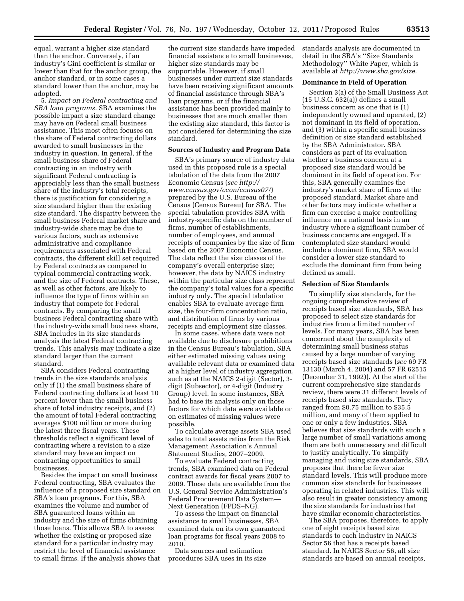equal, warrant a higher size standard than the anchor. Conversely, if an industry's Gini coefficient is similar or lower than that for the anchor group, the anchor standard, or in some cases a standard lower than the anchor, may be adopted.

5. *Impact on Federal contracting and SBA loan programs.* SBA examines the possible impact a size standard change may have on Federal small business assistance. This most often focuses on the share of Federal contracting dollars awarded to small businesses in the industry in question. In general, if the small business share of Federal contracting in an industry with significant Federal contracting is appreciably less than the small business share of the industry's total receipts, there is justification for considering a size standard higher than the existing size standard. The disparity between the small business Federal market share and industry-wide share may be due to various factors, such as extensive administrative and compliance requirements associated with Federal contracts, the different skill set required by Federal contracts as compared to typical commercial contracting work, and the size of Federal contracts. These, as well as other factors, are likely to influence the type of firms within an industry that compete for Federal contracts. By comparing the small business Federal contracting share with the industry-wide small business share, SBA includes in its size standards analysis the latest Federal contracting trends. This analysis may indicate a size standard larger than the current standard.

SBA considers Federal contracting trends in the size standards analysis only if (1) the small business share of Federal contracting dollars is at least 10 percent lower than the small business share of total industry receipts, and (2) the amount of total Federal contracting averages \$100 million or more during the latest three fiscal years. These thresholds reflect a significant level of contracting where a revision to a size standard may have an impact on contracting opportunities to small businesses.

Besides the impact on small business Federal contracting, SBA evaluates the influence of a proposed size standard on SBA's loan programs. For this, SBA examines the volume and number of SBA guaranteed loans within an industry and the size of firms obtaining those loans. This allows SBA to assess whether the existing or proposed size standard for a particular industry may restrict the level of financial assistance to small firms. If the analysis shows that

the current size standards have impeded financial assistance to small businesses, higher size standards may be supportable. However, if small businesses under current size standards have been receiving significant amounts of financial assistance through SBA's loan programs, or if the financial assistance has been provided mainly to businesses that are much smaller than the existing size standard, this factor is not considered for determining the size standard.

### **Sources of Industry and Program Data**

SBA's primary source of industry data used in this proposed rule is a special tabulation of the data from the 2007 Economic Census (*see [http://](http://www.census.gov/econ/census07/) [www.census.gov/econ/census07/](http://www.census.gov/econ/census07/)*) prepared by the U.S. Bureau of the Census (Census Bureau) for SBA. The special tabulation provides SBA with industry-specific data on the number of firms, number of establishments, number of employees, and annual receipts of companies by the size of firm based on the 2007 Economic Census. The data reflect the size classes of the company's overall enterprise size; however, the data by NAICS industry within the particular size class represent the company's total values for a specific industry only. The special tabulation enables SBA to evaluate average firm size, the four-firm concentration ratio, and distribution of firms by various receipts and employment size classes.

In some cases, where data were not available due to disclosure prohibitions in the Census Bureau's tabulation, SBA either estimated missing values using available relevant data or examined data at a higher level of industry aggregation, such as at the NAICS 2-digit (Sector), 3 digit (Subsector), or 4-digit (Industry Group) level. In some instances, SBA had to base its analysis only on those factors for which data were available or on estimates of missing values were possible.

To calculate average assets SBA used sales to total assets ratios from the Risk Management Association's Annual Statement Studies, 2007–2009.

To evaluate Federal contracting trends, SBA examined data on Federal contract awards for fiscal years 2007 to 2009. These data are available from the U.S. General Service Administration's Federal Procurement Data System— Next Generation (FPDS–NG).

To assess the impact on financial assistance to small businesses, SBA examined data on its own guaranteed loan programs for fiscal years 2008 to 2010.

Data sources and estimation procedures SBA uses in its size standards analysis are documented in detail in the SBA's ''Size Standards Methodology'' White Paper, which is available at *[http://www.sba.gov/size.](http://www.sba.gov/size)* 

### **Dominance in Field of Operation**

Section 3(a) of the Small Business Act (15 U.S.C. 632(a)) defines a small business concern as one that is (1) independently owned and operated, (2) not dominant in its field of operation, and (3) within a specific small business definition or size standard established by the SBA Administrator. SBA considers as part of its evaluation whether a business concern at a proposed size standard would be dominant in its field of operation. For this, SBA generally examines the industry's market share of firms at the proposed standard. Market share and other factors may indicate whether a firm can exercise a major controlling influence on a national basis in an industry where a significant number of business concerns are engaged. If a contemplated size standard would include a dominant firm, SBA would consider a lower size standard to exclude the dominant firm from being defined as small.

#### **Selection of Size Standards**

To simplify size standards, for the ongoing comprehensive review of receipts based size standards, SBA has proposed to select size standards for industries from a limited number of levels. For many years, SBA has been concerned about the complexity of determining small business status caused by a large number of varying receipts based size standards (*see* 69 FR 13130 (March 4, 2004) and 57 FR 62515 (December 31, 1992)). At the start of the current comprehensive size standards review, there were 31 different levels of receipts based size standards. They ranged from \$0.75 million to \$35.5 million, and many of them applied to one or only a few industries. SBA believes that size standards with such a large number of small variations among them are both unnecessary and difficult to justify analytically. To simplify managing and using size standards, SBA proposes that there be fewer size standard levels. This will produce more common size standards for businesses operating in related industries. This will also result in greater consistency among the size standards for industries that have similar economic characteristics.

The SBA proposes, therefore, to apply one of eight receipts based size standards to each industry in NAICS Sector 56 that has a receipts based standard. In NAICS Sector 56, all size standards are based on annual receipts,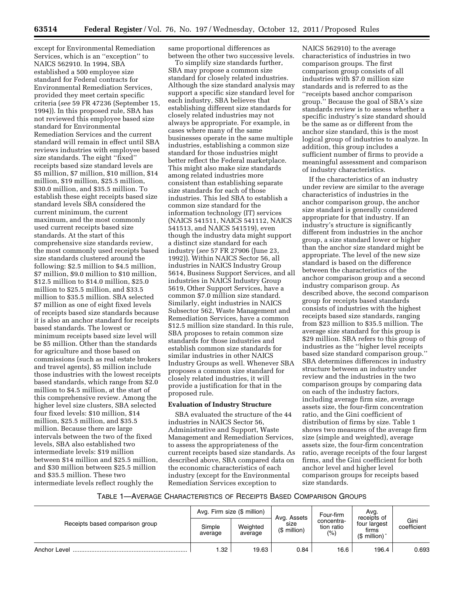**63514 Federal Register** / Vol. 76, No. 197 / Wednesday, October 12, 2011 / Proposed Rules

except for Environmental Remediation Services, which is an ''exception'' to NAICS 562910. In 1994, SBA established a 500 employee size standard for Federal contracts for Environmental Remediation Services, provided they meet certain specific criteria (*see* 59 FR 47236 (September 15, 1994)). In this proposed rule, SBA has not reviewed this employee based size standard for Environmental Remediation Services and the current standard will remain in effect until SBA reviews industries with employee based size standards. The eight ''fixed'' receipts based size standard levels are \$5 million, \$7 million, \$10 million, \$14 million, \$19 million, \$25.5 million, \$30.0 million, and \$35.5 million. To establish these eight receipts based size standard levels SBA considered the current minimum, the current maximum, and the most commonly used current receipts based size standards. At the start of this comprehensive size standards review, the most commonly used receipts based size standards clustered around the following: \$2.5 million to \$4.5 million, \$7 million, \$9.0 million to \$10 million, \$12.5 million to \$14.0 million, \$25.0 million to \$25.5 million, and \$33.5 million to \$35.5 million. SBA selected \$7 million as one of eight fixed levels of receipts based size standards because it is also an anchor standard for receipts based standards. The lowest or minimum receipts based size level will be \$5 million. Other than the standards for agriculture and those based on commissions (such as real estate brokers and travel agents), \$5 million include those industries with the lowest receipts based standards, which range from \$2.0 million to \$4.5 million, at the start of this comprehensive review. Among the higher level size clusters, SBA selected four fixed levels: \$10 million, \$14 million, \$25.5 million, and \$35.5 million. Because there are large intervals between the two of the fixed levels, SBA also established two intermediate levels: \$19 million between \$14 million and \$25.5 million, and \$30 million between \$25.5 million and \$35.5 million. These two intermediate levels reflect roughly the

same proportional differences as between the other two successive levels.

To simplify size standards further, SBA may propose a common size standard for closely related industries. Although the size standard analysis may support a specific size standard level for each industry, SBA believes that establishing different size standards for closely related industries may not always be appropriate. For example, in cases where many of the same businesses operate in the same multiple industries, establishing a common size standard for those industries might better reflect the Federal marketplace. This might also make size standards among related industries more consistent than establishing separate size standards for each of those industries. This led SBA to establish a common size standard for the information technology (IT) services (NAICS 541511, NAICS 541112, NAICS 541513, and NAICS 541519), even though the industry data might support a distinct size standard for each industry (*see* 57 FR 27906 (June 23, 1992)). Within NAICS Sector 56, all industries in NAICS Industry Group 5614, Business Support Services, and all industries in NAICS Industry Group 5619, Other Support Services, have a common \$7.0 million size standard. Similarly, eight industries in NAICS Subsector 562, Waste Management and Remediation Services, have a common \$12.5 million size standard. In this rule, SBA proposes to retain common size standards for those industries and establish common size standards for similar industries in other NAICS Industry Groups as well. Whenever SBA proposes a common size standard for closely related industries, it will provide a justification for that in the proposed rule.

# **Evaluation of Industry Structure**

SBA evaluated the structure of the 44 industries in NAICS Sector 56, Administrative and Support, Waste Management and Remediation Services, to assess the appropriateness of the current receipts based size standards. As described above, SBA compared data on the economic characteristics of each industry (except for the Environmental Remediation Services exception to

NAICS 562910) to the average characteristics of industries in two comparison groups. The first comparison group consists of all industries with \$7.0 million size standards and is referred to as the ''receipts based anchor comparison group.'' Because the goal of SBA's size standards review is to assess whether a specific industry's size standard should be the same as or different from the anchor size standard, this is the most logical group of industries to analyze. In addition, this group includes a sufficient number of firms to provide a meaningful assessment and comparison of industry characteristics.

If the characteristics of an industry under review are similar to the average characteristics of industries in the anchor comparison group, the anchor size standard is generally considered appropriate for that industry. If an industry's structure is significantly different from industries in the anchor group, a size standard lower or higher than the anchor size standard might be appropriate. The level of the new size standard is based on the difference between the characteristics of the anchor comparison group and a second industry comparison group. As described above, the second comparison group for receipts based standards consists of industries with the highest receipts based size standards, ranging from \$23 million to \$35.5 million. The average size standard for this group is \$29 million. SBA refers to this group of industries as the ''higher level receipts based size standard comparison group.'' SBA determines differences in industry structure between an industry under review and the industries in the two comparison groups by comparing data on each of the industry factors, including average firm size, average assets size, the four-firm concentration ratio, and the Gini coefficient of distribution of firms by size. Table 1 shows two measures of the average firm size (simple and weighted), average assets size, the four-firm concentration ratio, average receipts of the four largest firms, and the Gini coefficient for both anchor level and higher level comparison groups for receipts based size standards.

# TABLE 1—AVERAGE CHARACTERISTICS OF RECEIPTS BASED COMPARISON GROUPS

|                                 |                   | Avg. Firm size (\$ million) | Avg. Assets           | Four-firm                       | Avq.<br>receipts of                       | Gini<br>coefficient |
|---------------------------------|-------------------|-----------------------------|-----------------------|---------------------------------|-------------------------------------------|---------------------|
| Receipts based comparison group | Simple<br>average | Weighted<br>average         | size<br>$(S$ million) | concentra-<br>tion ratio<br>(%) | four largest<br>firms<br>$$$ million) $*$ |                     |
| Anchor Level                    | .32               | 19.63                       | 0.84                  | 16.6                            | 196.4                                     | 0.693               |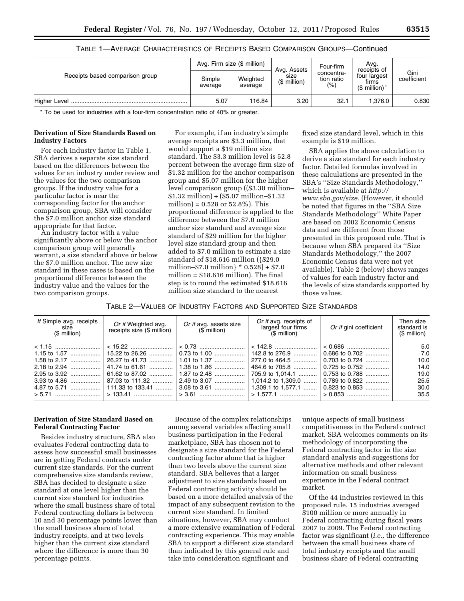|                                 | Avg. Firm size (\$ million) |                     |                                     | Four-firm                           | Avq.<br>receipts of                        |                     |
|---------------------------------|-----------------------------|---------------------|-------------------------------------|-------------------------------------|--------------------------------------------|---------------------|
| Receipts based comparison group | Simple<br>average           | Weighted<br>average | Avg. Assets<br>size<br>(\$ million) | concentra-<br>tion ratio<br>$(\% )$ | four largest<br>firms<br>$$$ million) $^*$ | Gini<br>coefficient |
|                                 | 5.07                        | 116.84              | 3.20                                | 32.1                                | .376.0                                     | 0.830               |

# TABLE 1—AVERAGE CHARACTERISTICS OF RECEIPTS BASED COMPARISON GROUPS—Continued

\* To be used for industries with a four-firm concentration ratio of 40% or greater.

### **Derivation of Size Standards Based on Industry Factors**

For each industry factor in Table 1, SBA derives a separate size standard based on the differences between the values for an industry under review and the values for the two comparison groups. If the industry value for a particular factor is near the corresponding factor for the anchor comparison group, SBA will consider the \$7.0 million anchor size standard appropriate for that factor.

An industry factor with a value significantly above or below the anchor comparison group will generally warrant, a size standard above or below the \$7.0 million anchor. The new size standard in these cases is based on the proportional difference between the industry value and the values for the two comparison groups.

For example, if an industry's simple average receipts are \$3.3 million, that would support a \$19 million size standard. The \$3.3 million level is 52.8 percent between the average firm size of \$1.32 million for the anchor comparison group and \$5.07 million for the higher level comparison group ((\$3.30 million–  $$1.32$  million $) \div (\$5.07$  million- $\$1.32$ million) = 0.528 or 52.8%). This proportional difference is applied to the difference between the \$7.0 million anchor size standard and average size standard of \$29 million for the higher level size standard group and then added to \$7.0 million to estimate a size standard of \$18.616 million ({\$29.0 million–\$7.0 million} \* 0.528] + \$7.0 million = \$18.616 million). The final step is to round the estimated \$18.616 million size standard to the nearest

fixed size standard level, which in this example is \$19 million.

SBA applies the above calculation to derive a size standard for each industry factor. Detailed formulas involved in these calculations are presented in the SBA's ''Size Standards Methodology,'' which is available at *[http://](http://www.sba.gov/size)  [www.sba.gov/size.](http://www.sba.gov/size)* (However, it should be noted that figures in the ''SBA Size Standards Methodology'' White Paper are based on 2002 Economic Census data and are different from those presented in this proposed rule. That is because when SBA prepared its ''Size Standards Methodology,'' the 2007 Economic Census data were not yet available). Table 2 (below) shows ranges of values for each industry factor and the levels of size standards supported by those values.

| Table 2—Values of Industry Factors and Supported Size Standards |  |
|-----------------------------------------------------------------|--|
|-----------------------------------------------------------------|--|

| If Simple avg. receipts<br>size<br>$$$ million) | Or if Weighted avg.<br>receipts size $($$ million) $\parallel$ | Or if avg. assets size<br>$($$ million $)$ | Or if avg. receipts of<br>largest four firms<br>$($ \$ million) | Or if gini coefficient | Then size<br>standard is<br>$$$ million) |
|-------------------------------------------------|----------------------------------------------------------------|--------------------------------------------|-----------------------------------------------------------------|------------------------|------------------------------------------|
|                                                 |                                                                |                                            |                                                                 |                        | 5.0                                      |
|                                                 |                                                                |                                            | 142.8 to 276.9                                                  | 0.686 to 0.702         | 7.0                                      |
|                                                 |                                                                |                                            |                                                                 | 0.703 to 0.724         | 10.0                                     |
|                                                 | 41.74 to 61.61                                                 | 1.38 to 1.86                               | │ 464.6 to 705.8 …………. │                                        | 0.725 to 0.752         | 14.0                                     |
| 2.95 to 3.92                                    |                                                                |                                            | 705.9 to 1.014.1                                                | 0.753 to 0.788         | 19.0                                     |
| 3.93 to 4.86                                    | 87.03 to 111.32  2.49 to 3.07                                  |                                            | 1,014.2 to 1,309.0    0.789 to 0.822                            |                        | 25.5                                     |
|                                                 |                                                                |                                            |                                                                 |                        | 30.0                                     |
|                                                 |                                                                |                                            |                                                                 |                        | 35.5                                     |

### **Derivation of Size Standard Based on Federal Contracting Factor**

Besides industry structure, SBA also evaluates Federal contracting data to assess how successful small businesses are in getting Federal contracts under current size standards. For the current comprehensive size standards review, SBA has decided to designate a size standard at one level higher than the current size standard for industries where the small business share of total Federal contracting dollars is between 10 and 30 percentage points lower than the small business share of total industry receipts, and at two levels higher than the current size standard where the difference is more than 30 percentage points.

Because of the complex relationships among several variables affecting small business participation in the Federal marketplace, SBA has chosen not to designate a size standard for the Federal contracting factor alone that is higher than two levels above the current size standard. SBA believes that a larger adjustment to size standards based on Federal contracting activity should be based on a more detailed analysis of the impact of any subsequent revision to the current size standard. In limited situations, however, SBA may conduct a more extensive examination of Federal contracting experience. This may enable SBA to support a different size standard than indicated by this general rule and take into consideration significant and

unique aspects of small business competitiveness in the Federal contract market. SBA welcomes comments on its methodology of incorporating the Federal contracting factor in the size standard analysis and suggestions for alternative methods and other relevant information on small business experience in the Federal contract market.

Of the 44 industries reviewed in this proposed rule, 15 industries averaged \$100 million or more annually in Federal contracting during fiscal years 2007 to 2009. The Federal contracting factor was significant (*i.e.,* the difference between the small business share of total industry receipts and the small business share of Federal contracting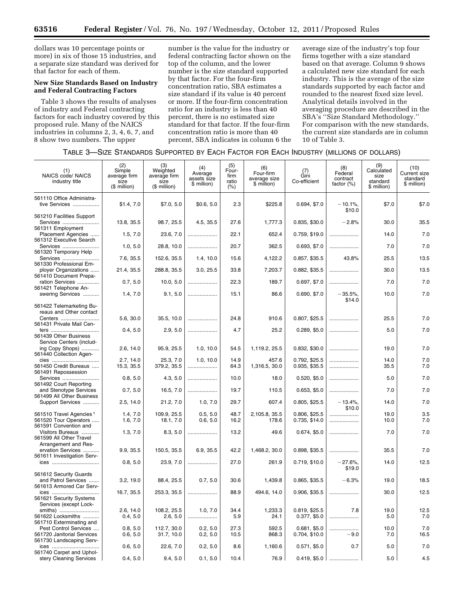dollars was 10 percentage points or more) in six of those 15 industries, and a separate size standard was derived for that factor for each of them.

# **New Size Standards Based on Industry and Federal Contracting Factors**

Table 3 shows the results of analyses of industry and Federal contracting factors for each industry covered by this proposed rule. Many of the NAICS industries in columns 2, 3, 4, 6, 7, and 8 show two numbers. The upper

number is the value for the industry or federal contracting factor shown on the top of the column, and the lower number is the size standard supported by that factor. For the four-firm concentration ratio, SBA estimates a size standard if its value is 40 percent or more. If the four-firm concentration ratio for an industry is less than 40 percent, there is no estimated size standard for that factor. If the four-firm concentration ratio is more than 40 percent, SBA indicates in column 6 the average size of the industry's top four firms together with a size standard based on that average. Column 9 shows a calculated new size standard for each industry. This is the average of the size standards supported by each factor and rounded to the nearest fixed size level. Analytical details involved in the averaging procedure are described in the SBA's ''Size Standard Methodology.'' For comparison with the new standards, the current size standards are in column 10 of Table 3.

| TABLE 3-SIZE STANDARDS SUPPORTED BY EACH FACTOR FOR EACH INDUSTRY (MILLIONS OF DOLLARS) |  |  |
|-----------------------------------------------------------------------------------------|--|--|
|-----------------------------------------------------------------------------------------|--|--|

| (1)<br><b>NAICS code/ NAICS</b><br>industry title                                     | (2)<br>Simple<br>average firm<br>size<br>(\$ million) | (3)<br>Weighted<br>average firm<br>size<br>(\$ million) | (4)<br>Average<br>assets size<br>\$ million) | (5)<br>Four-<br>firm<br>ratio<br>(% ) | (6)<br>Four-firm<br>average size<br>\$ million) | (7)<br>Gini<br>Co-efficient    | (8)<br>Federal<br>contract<br>factor (%) | (9)<br>Calculated<br>size<br>standard<br>\$ million) | (10)<br>Current size<br>standard<br>\$ million) |
|---------------------------------------------------------------------------------------|-------------------------------------------------------|---------------------------------------------------------|----------------------------------------------|---------------------------------------|-------------------------------------------------|--------------------------------|------------------------------------------|------------------------------------------------------|-------------------------------------------------|
| 561110 Office Administra-<br>tive Services                                            | \$1.4, 7.0                                            | \$7.0, 5.0                                              | \$0.6, 5.0                                   | 2.3                                   | \$225.8                                         | 0.694, \$7.0                   | $-10.1%$<br>\$10.0                       | \$7.0                                                | \$7.0                                           |
| 561210 Facilities Support<br>Services                                                 | 13.8, 35.5                                            | 98.7, 25.5                                              | 4.5, 35.5                                    | 27.6                                  | 1,777.3                                         | 0.835, \$30.0                  | $-2.8%$                                  | 30.0                                                 | 35.5                                            |
| 561311 Employment<br>Placement Agencies<br>561312 Executive Search                    | 1.5, 7.0                                              | 23.6, 7.0                                               |                                              | 22.1                                  | 652.4                                           | 0.759, \$19.0                  |                                          | 14.0                                                 | 7.0                                             |
| Services<br>561320 Temporary Help                                                     | 1.0, 5.0                                              | 28.8, 10.0                                              |                                              | 20.7                                  | 362.5                                           | 0.693, \$7.0                   |                                          | 7.0                                                  | 7.0                                             |
| Services<br>561330 Professional Em-                                                   | 7.6, 35.5                                             | 152.6, 35.5                                             | 1.4, 10.0                                    | 15.6                                  | 4,122.2                                         | 0.857, \$35.5                  | 43.8%                                    | 25.5                                                 | 13.5                                            |
| ployer Organizations<br>561410 Document Prepa-                                        | 21.4, 35.5                                            | 288.8, 35.5                                             | 3.0, 25.5                                    | 33.8                                  | 7,203.7                                         | 0.882, \$35.5                  |                                          | 30.0                                                 | 13.5                                            |
| ration Services<br>561421 Telephone An-                                               | 0.7, 5.0                                              | 10.0, 5.0                                               |                                              | 22.3                                  | 189.7                                           | 0.697, \$7.0                   |                                          | 7.0                                                  | 7.0                                             |
| swering Services                                                                      | 1.4, 7.0                                              | 9.1, 5.0                                                |                                              | 15.1                                  | 86.6                                            | 0.690, \$7.0                   | $-35.5%$<br>\$14.0                       | 10.0                                                 | 7.0                                             |
| 561422 Telemarketing Bu-<br>reaus and Other contact                                   |                                                       |                                                         |                                              |                                       |                                                 |                                |                                          |                                                      |                                                 |
| Centers<br>561431 Private Mail Cen-                                                   | 5.6, 30.0                                             | 35.5, 10.0                                              |                                              | 24.8                                  | 910.6                                           | 0.807, \$25.5                  |                                          | 25.5                                                 | 7.0                                             |
| ters<br>561439 Other Business                                                         | 0.4, 5.0                                              | 2.9, 5.0                                                |                                              | 4.7                                   | 25.2                                            | 0.289, \$5.0                   |                                          | 5.0                                                  | 7.0                                             |
| Service Centers (includ-<br>ing Copy Shops)<br>561440 Collection Agen-                | 2.6, 14.0                                             | 95.9, 25.5                                              | 1.0, 10.0                                    | 54.5                                  | 1,119.2, 25.5                                   | 0.832, \$30.0                  |                                          | 19.0                                                 | 7.0                                             |
| cies<br>561450 Credit Bureaus                                                         | 2.7, 14.0<br>15.3, 35.5                               | 25.3, 7.0<br>379.2, 35.5                                | 1.0, 10.0<br>                                | 14.9<br>64.3                          | 457.6<br>1,316.5, 30.0                          | 0.792, \$25.5<br>0.935, \$35.5 | .<br>                                    | 14.0<br>35.5                                         | 7.0<br>7.0                                      |
| 561491 Repossession<br>Services                                                       | 0.8, 5.0                                              | 4.3, 5.0                                                |                                              | 10.0                                  | 18.0                                            | 0.520, \$5.0                   |                                          | 5.0                                                  | 7.0                                             |
| 561492 Court Reporting<br>and Stenotype Services                                      | 0.7, 5.0                                              | 16.5, 7.0                                               |                                              | 19.7                                  | 110.5                                           | 0.653, \$5.0                   |                                          | 7.0                                                  | 7.0                                             |
| 561499 All Other Business<br>Support Services                                         | 2.5, 14.0                                             | 21.2, 7.0                                               | 1.0, 7.0                                     | 29.7                                  | 607.4                                           | 0.805, \$25.5                  | $-13.4%$                                 | 14.0                                                 | 7.0                                             |
|                                                                                       |                                                       |                                                         |                                              |                                       |                                                 |                                | \$10.0                                   |                                                      |                                                 |
| 561510 Travel Agencies <sup>1</sup><br>561520 Tour Operators<br>561591 Convention and | 1.4, 7.0<br>1.6, 7.0                                  | 109.9, 25.5<br>18.1, 7.0                                | 0.5, 5.0<br>0.6, 5.0                         | 48.7<br>16.2                          | 2,105.8, 35.5<br>178.6                          | 0.806, \$25.5<br>0.735, \$14.0 | .<br>                                    | 19.0<br>10.0                                         | 3.5<br>7.0                                      |
| Visitors Bureaus<br>561599 All Other Travel                                           | 1.3, 7.0                                              | 8.3, 5.0                                                |                                              | 13.2                                  | 49.6                                            | 0.674, \$5.0                   |                                          | 7.0                                                  | 7.0                                             |
| Arrangement and Res-<br>ervation Services<br>561611 Investigation Serv-               | 9.9, 35.5                                             | 150.5, 35.5                                             | 6.9, 35.5                                    | 42.2                                  | 1,468.2, 30.0                                   | 0.898, \$35.5                  |                                          | 35.5                                                 | 7.0                                             |
| ices                                                                                  | 0.8, 5.0                                              | 23.9, 7.0                                               | .                                            | 27.0                                  | 261.9                                           | 0.719, \$10.0                  | $-27.6%$<br>\$19.0                       | 14.0                                                 | 12.5                                            |
| 561612 Security Guards<br>and Patrol Services                                         | 3.2, 19.0                                             | 88.4, 25.5                                              | 0.7, 5.0                                     | 30.6                                  | 1,439.8                                         | 0.865, \$35.5                  | $-6.3%$                                  | 19.0                                                 | 18.5                                            |
| 561613 Armored Car Serv-<br>ices<br>561621 Security Systems                           | 16.7, 35.5                                            | 253.3, 35.5                                             |                                              | 88.9                                  | 494.6, 14.0                                     | 0.906, \$35.5                  |                                          | 30.0                                                 | 12.5                                            |
| Services (except Lock-<br>smiths)                                                     | 2.6, 14.0                                             | 108.2, 25.5                                             | 1.0, 7.0                                     | 34.4                                  | 1,233.3                                         | 0.819, \$25.5                  | 7.8                                      | 19.0                                                 | 12.5                                            |
| 561622 Locksmiths<br>561710 Exterminating and                                         | 0.4, 5.0                                              | 2.6, 5.0                                                | <br>.                                        | 5.9                                   | 24.1                                            | 0.377, \$5.0                   | .                                        | 5.0                                                  | 7.0                                             |
| Pest Control Services<br>561720 Janitorial Services<br>561730 Landscaping Serv-       | 0.8, 5.0<br>0.6, 5.0                                  | 112.7, 30.0<br>31.7, 10.0                               | 0.2, 5.0<br>0.2, 5.0                         | 27.3<br>10.5                          | 592.5<br>868.3                                  | 0.681, \$5.0<br>0.704, \$10.0  | $-9.0$                                   | 10.0<br>7.0                                          | 7.0<br>16.5                                     |
| ices<br>561740 Carpet and Uphol-                                                      | 0.6, 5.0                                              | 22.6, 7.0                                               | 0.2, 5.0                                     | 8.6                                   | 1,160.6                                         | $0.571,$ \$5.0                 | 0.7                                      | 5.0                                                  | 7.0                                             |
| stery Cleaning Services                                                               | 0.4, 5.0                                              | 9.4, 5.0                                                | 0.1, 5.0                                     | 10.4                                  | 76.9                                            | 0.419, \$5.0                   |                                          | 5.0                                                  | 4.5                                             |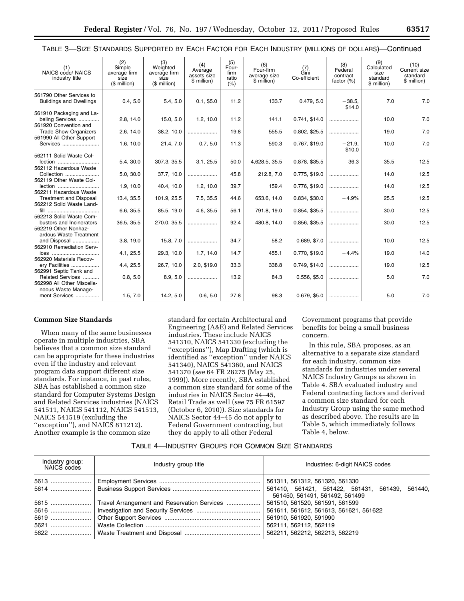| (1)<br><b>NAICS code/ NAICS</b><br>industry title                    | (2)<br>Simple<br>average firm<br>size<br>(\$ million) | (3)<br>Weighted<br>average firm<br>size<br>(\$ million) | (4)<br>Average<br>assets size<br>\$ million) | (5)<br>Four-<br>firm<br>ratio<br>(% ) | (6)<br>Four-firm<br>average size<br>\$ million) | (7)<br>Gini<br>Co-efficient | (8)<br>Federal<br>contract<br>factor $(\%)$ | (9)<br>Calculated<br>size<br>standard<br>\$ million) | (10)<br>Current size<br>standard<br>\$ million) |
|----------------------------------------------------------------------|-------------------------------------------------------|---------------------------------------------------------|----------------------------------------------|---------------------------------------|-------------------------------------------------|-----------------------------|---------------------------------------------|------------------------------------------------------|-------------------------------------------------|
| 561790 Other Services to<br><b>Buildings and Dwellings</b>           | 0.4, 5.0                                              | 5.4, 5.0                                                | 0.1, \$5.0                                   | 11.2                                  | 133.7                                           | 0.479, 5.0                  | $-38.5,$<br>\$14.0                          | 7.0                                                  | 7.0                                             |
| 561910 Packaging and La-<br>beling Services<br>561920 Convention and | 2.8, 14.0                                             | 15.0, 5.0                                               | 1.2, 10.0                                    | 11.2                                  | 141.1                                           | 0.741, \$14.0               |                                             | 10.0                                                 | 7.0                                             |
| <b>Trade Show Organizers</b><br>561990 All Other Support             | 2.6, 14.0                                             | 38.2, 10.0                                              |                                              | 19.8                                  | 555.5                                           | 0.802, \$25.5               |                                             | 19.0                                                 | 7.0                                             |
| Services                                                             | 1.6, 10.0                                             | 21.4, 7.0                                               | 0.7, 5.0                                     | 11.3                                  | 590.3                                           | 0.767, \$19.0               | $-21.9$<br>\$10.0                           | 10.0                                                 | 7.0                                             |
| 562111 Solid Waste Col-<br>lection<br>562112 Hazardous Waste         | 5.4, 30.0                                             | 307.3, 35.5                                             | 3.1, 25.5                                    | 50.0                                  | 4,628.5, 35.5                                   | 0.878, \$35.5               | 36.3                                        | 35.5                                                 | 12.5                                            |
| Collection<br>562119 Other Waste Col-                                | 5.0, 30.0                                             | 37.7, 10.0                                              |                                              | 45.8                                  | 212.8, 7.0                                      | 0.775, \$19.0               |                                             | 14.0                                                 | 12.5                                            |
| lection<br>562211 Hazardous Waste                                    | 1.9, 10.0                                             | 40.4, 10.0                                              | 1.2, 10.0                                    | 39.7                                  | 159.4                                           | 0.776, \$19.0               |                                             | 14.0                                                 | 12.5                                            |
| <b>Treatment and Disposal</b><br>562212 Solid Waste Land-            | 13.4, 35.5                                            | 101.9, 25.5                                             | 7.5, 35.5                                    | 44.6                                  | 653.6, 14.0                                     | 0.834, \$30.0               | $-4.9%$                                     | 25.5                                                 | 12.5                                            |
| fill<br><br>562213 Solid Waste Com-                                  | 6.6, 35.5                                             | 85.5, 19.0                                              | 4.6, 35.5                                    | 56.1                                  | 791.8, 19.0                                     | 0.854, \$35.5               |                                             | 30.0                                                 | 12.5                                            |
| bustors and Incinerators<br>562219 Other Nonhaz-                     | 36.5, 35.5                                            | 270.0, 35.5                                             |                                              | 92.4                                  | 480.8, 14.0                                     | 0.856, \$35.5               |                                             | 30.0                                                 | 12.5                                            |
| ardous Waste Treatment<br>and Disposal<br>562910 Remediation Serv-   | 3.8, 19.0                                             | 15.8, 7.0                                               |                                              | 34.7                                  | 58.2                                            | 0.689, \$7.0                |                                             | 10.0                                                 | 12.5                                            |
| ices<br>562920 Materials Recov-                                      | 4.1, 25.5                                             | 29.3, 10.0                                              | 1.7, 14.0                                    | 14.7                                  | 455.1                                           | 0.770, \$19.0               | $-4.4%$                                     | 19.0                                                 | 14.0                                            |
| ery Facilities<br>562991 Septic Tank and                             | 4.4, 25.5                                             | 26.7, 10.0                                              | 2.0, \$19.0                                  | 33.3                                  | 338.8                                           | 0.749, \$14.0               |                                             | 19.0                                                 | 12.5                                            |
| Related Services<br>562998 All Other Miscella-                       | 0.8, 5.0                                              | 8.9, 5.0                                                |                                              | 13.2                                  | 84.3                                            | 0.556, \$5.0                |                                             | 5.0                                                  | 7.0                                             |
| neous Waste Manage-<br>ment Services                                 | 1.5, 7.0                                              | 14.2, 5.0                                               | 0.6, 5.0                                     | 27.8                                  | 98.3                                            | 0.679, \$5.0                |                                             | 5.0                                                  | 7.0                                             |

# TABLE 3—SIZE STANDARDS SUPPORTED BY EACH FACTOR FOR EACH INDUSTRY (MILLIONS OF DOLLARS)—Continued

#### **Common Size Standards**

When many of the same businesses operate in multiple industries, SBA believes that a common size standard can be appropriate for these industries even if the industry and relevant program data support different size standards. For instance, in past rules, SBA has established a common size standard for Computer Systems Design and Related Services industries (NAICS 541511, NAICS 541112, NAICS 541513, NAICS 541519 (excluding the ''exception''), and NAICS 811212). Another example is the common size

standard for certain Architectural and Engineering (A&E) and Related Services industries. These include NAICS 541310, NAICS 541330 (excluding the ''exceptions''), Map Drafting (which is identified as ''exception'' under NAICS 541340), NAICS 541360, and NAICS 541370 (*see* 64 FR 28275 (May 25, 1999)). More recently, SBA established a common size standard for some of the industries in NAICS Sector 44–45, Retail Trade as well (*see* 75 FR 61597 (October 6, 2010)). Size standards for NAICS Sector 44–45 do not apply to Federal Government contracting, but they do apply to all other Federal

Government programs that provide benefits for being a small business concern.

In this rule, SBA proposes, as an alternative to a separate size standard for each industry, common size standards for industries under several NAICS Industry Groups as shown in Table 4. SBA evaluated industry and Federal contracting factors and derived a common size standard for each Industry Group using the same method as described above. The results are in Table 5, which immediately follows Table 4, below.

# TABLE 4—INDUSTRY GROUPS FOR COMMON SIZE STANDARDS

| Industry group:<br>NAICS codes | Industry group title | Industries: 6-digit NAICS codes                                                   |  |  |  |  |
|--------------------------------|----------------------|-----------------------------------------------------------------------------------|--|--|--|--|
|                                |                      | 561311, 561312, 561320, 561330                                                    |  |  |  |  |
|                                |                      | 561410, 561421, 561422, 561431, 561439, 561440,<br>561450, 561491, 561492, 561499 |  |  |  |  |
|                                |                      | 561510, 561520, 561591, 561599                                                    |  |  |  |  |
|                                |                      | 561611, 561612, 561613, 561621, 561622                                            |  |  |  |  |
|                                |                      | 561910, 561920, 591990                                                            |  |  |  |  |
|                                |                      | 562111, 562112, 562119                                                            |  |  |  |  |
|                                |                      | 562211, 562212, 562213, 562219                                                    |  |  |  |  |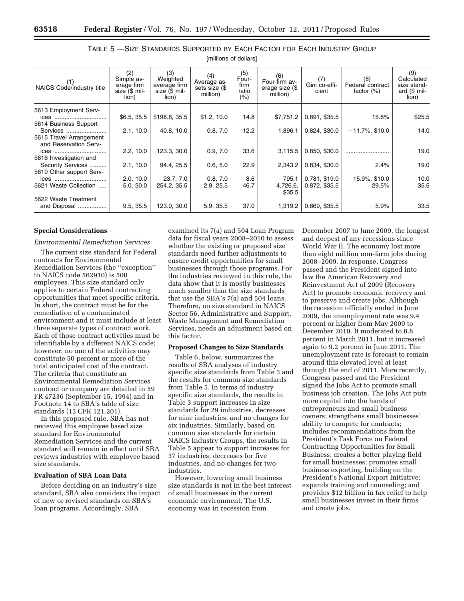| (1)<br>NAICS Code/industry title                         | (2)<br>Simple av-<br>erage firm<br>size (\$ mil-<br>lion) | (3)<br>Weighted<br>average firm<br>size (\$ mil-<br>lion) | (4)<br>Average as-<br>sets size (\$<br>million) | (5)<br>Four-<br>firm<br>ratio<br>$(\% )$ | (6)<br>Four-firm av-<br>erage size (\$<br>million) | (7)<br>Gini co-effi-<br>cient | (8)<br>Federal contract<br>factor $(\%)$ | (9)<br>Calculated<br>size stand-<br>ard $($$ mil-<br>lion) |
|----------------------------------------------------------|-----------------------------------------------------------|-----------------------------------------------------------|-------------------------------------------------|------------------------------------------|----------------------------------------------------|-------------------------------|------------------------------------------|------------------------------------------------------------|
| 5613 Employment Serv-<br>ices                            | \$6.5, 35.5                                               | \$198.8, 35.5                                             | \$1.2, 10.0                                     | 14.8                                     | \$7,751.2                                          | 0.891, \$35.5                 | 15.8%                                    | \$25.5                                                     |
| 5614 Business Support<br>Services                        | 2.1, 10.0                                                 | 40.8, 10.0                                                | 0.8, 7.0                                        | 12.2                                     | 1,896.1                                            | 0.824, \$30.0                 | $-11.7\%$ , \$10.0                       | 14.0                                                       |
| 5615 Travel Arrangement<br>and Reservation Serv-<br>ices | 2.2, 10.0                                                 | 123.3, 30.0                                               | 0.9, 7.0                                        | 33.6                                     | 3,115.5                                            | 0.850, \$30.0                 |                                          | 19.0                                                       |
| 5616 Investigation and<br>Security Services              | 2.1, 10.0                                                 | 94.4, 25.5                                                | 0.6, 5.0                                        | 22.9                                     | 2,343.2                                            | 0.834, \$30.0                 | 2.4%                                     | 19.0                                                       |
| 5619 Other support Serv-<br>ices                         | 2.0, 10.0                                                 | 23.7, 7.0                                                 | 0.8, 7.0                                        | 8.6                                      | 795.1                                              | 0.781, \$19.0                 | $-15.9\%$ , \$10.0                       | 10.0                                                       |
| 5621 Waste Collection                                    | 5.0, 30.0                                                 | 254.2, 35.5                                               | 2.9, 25.5                                       | 46.7                                     | 4,726.6,<br>\$35.5                                 | 0.872, \$35.5                 | 29.5%                                    | 35.5                                                       |
| 5622 Waste Treatment<br>and Disposal                     | 9.5, 35.5                                                 | 123.0, 30.0                                               | 5.9, 35.5                                       | 37.0                                     | 1,319.2                                            | 0.869, \$35.5                 | $-5.9%$                                  | 33.5                                                       |

TABLE 5 —SIZE STANDARDS SUPPORTED BY EACH FACTOR FOR EACH INDUSTRY GROUP [millions of dollars]

#### **Special Considerations**

# *Environmental Remediation Services*

The current size standard for Federal contracts for Environmental Remediation Services (the ''exception'' to NAICS code 562910) is 500 employees. This size standard only applies to certain Federal contracting opportunities that meet specific criteria. In short, the contract must be for the remediation of a contaminated environment and it must include at least three separate types of contract work. Each of those contract activities must be identifiable by a different NAICS code; however, no one of the activities may constitute 50 percent or more of the total anticipated cost of the contract. The criteria that constitute an Environmental Remediation Services contract or company are detailed in 59 FR 47236 (September 15, 1994) and in Footnote 14 to SBA's table of size standards (13 CFR 121.201).

In this proposed rule, SBA has not reviewed this employee based size standard for Environmental Remediation Services and the current standard will remain in effect until SBA reviews industries with employee based size standards.

# **Evaluation of SBA Loan Data**

Before deciding on an industry's size standard, SBA also considers the impact of new or revised standards on SBA's loan programs. Accordingly, SBA

examined its 7(a) and 504 Loan Program data for fiscal years 2008–2010 to assess whether the existing or proposed size standards need further adjustments to ensure credit opportunities for small businesses through those programs. For the industries reviewed in this rule, the data show that it is mostly businesses much smaller than the size standards that use the SBA's 7(a) and 504 loans. Therefore, no size standard in NAICS Sector 56, Administrative and Support, Waste Management and Remediation Services, needs an adjustment based on this factor.

#### **Proposed Changes to Size Standards**

Table 6, below, summarizes the results of SBA analyses of industry specific size standards from Table 3 and the results for common size standards from Table 5. In terms of industry specific size standards, the results in Table 3 support increases in size standards for 29 industries, decreases for nine industries, and no changes for six industries. Similarly, based on common size standards for certain NAICS Industry Groups, the results in Table 5 appear to support increases for 37 industries, decreases for five industries, and no changes for two industries.

However, lowering small business size standards is not in the best interest of small businesses in the current economic environment. The U.S. economy was in recession from

December 2007 to June 2009, the longest and deepest of any recessions since World War II. The economy lost more than eight million non-farm jobs during 2008–2009. In response, Congress passed and the President signed into law the American Recovery and Reinvestment Act of 2009 (Recovery Act) to promote economic recovery and to preserve and create jobs. Although the recession officially ended in June 2009, the unemployment rate was 9.4 percent or higher from May 2009 to December 2010. It moderated to 8.8 percent in March 2011, but it increased again to 9.2 percent in June 2011. The unemployment rate is forecast to remain around this elevated level at least through the end of 2011. More recently, Congress passed and the President signed the Jobs Act to promote small business job creation. The Jobs Act puts more capital into the hands of entrepreneurs and small business owners; strengthens small businesses' ability to compete for contracts; includes recommendations from the President's Task Force on Federal Contracting Opportunities for Small Business; creates a better playing field for small businesses; promotes small business exporting, building on the President's National Export Initiative; expands training and counseling; and provides \$12 billion in tax relief to help small businesses invest in their firms and create jobs.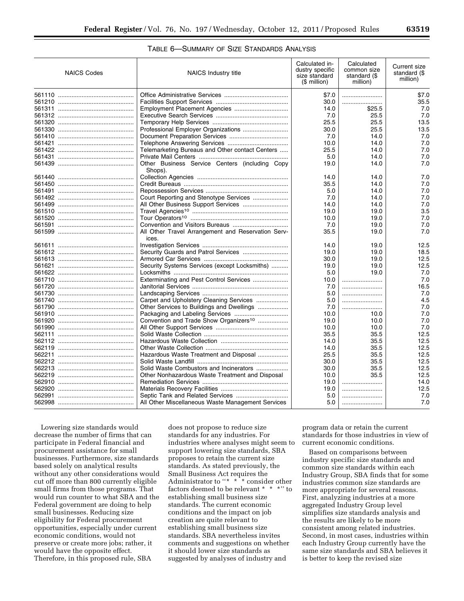# TABLE 6—SUMMARY OF SIZE STANDARDS ANALYSIS

| <b>NAICS Codes</b> | <b>NAICS Industry title</b>                                 | Calculated in-<br>dustry specific<br>size standard<br>(\$ million) | Calculated<br>common size<br>standard (\$<br>million) | Current size<br>standard (\$<br>million) |
|--------------------|-------------------------------------------------------------|--------------------------------------------------------------------|-------------------------------------------------------|------------------------------------------|
|                    |                                                             | \$7.0                                                              |                                                       | \$7.0                                    |
|                    |                                                             | 30.0                                                               |                                                       | 35.5                                     |
|                    |                                                             | 14.0                                                               | \$25.5                                                | 7.0                                      |
|                    |                                                             | 7.0                                                                | 25.5                                                  | 7.0                                      |
|                    |                                                             | 25.5                                                               | 25.5                                                  | 13.5                                     |
|                    |                                                             | 30.0                                                               | 25.5                                                  | 13.5                                     |
|                    |                                                             | 7.0                                                                | 14.0                                                  | 7.0                                      |
|                    |                                                             | 10.0                                                               | 14.0                                                  | 7.0                                      |
|                    | Telemarketing Bureaus and Other contact Centers             | 25.5                                                               | 14.0                                                  | 7.0                                      |
|                    |                                                             | 5.0                                                                | 14.0                                                  | 7.0                                      |
|                    | Other Business Service Centers (including Copy<br>Shops).   | 19.0                                                               | 14.0                                                  | 7.0                                      |
|                    |                                                             | 14.0                                                               | 14.0                                                  | 7.0                                      |
|                    |                                                             | 35.5                                                               | 14.0                                                  | 7.0                                      |
|                    |                                                             | 5.0                                                                | 14.0                                                  | 7.0                                      |
|                    |                                                             | 7.0                                                                | 14.0                                                  | 7.0                                      |
|                    |                                                             | 14.0                                                               | 14.0                                                  | 7.0                                      |
|                    |                                                             | 19.0                                                               | 19.0                                                  | 3.5                                      |
|                    |                                                             | 10.0                                                               | 19.0                                                  | 7.0                                      |
|                    |                                                             | 7.0                                                                | 19.0                                                  | 7.0                                      |
|                    | All Other Travel Arrangement and Reservation Serv-<br>ices. | 35.5                                                               | 19.0                                                  | 7.0                                      |
|                    |                                                             | 14.0                                                               | 19.0                                                  | 12.5                                     |
|                    |                                                             | 19.0                                                               | 19.0                                                  | 18.5                                     |
|                    |                                                             | 30.0                                                               | 19.0                                                  | 12.5                                     |
|                    | Security Systems Services (except Locksmiths)               | 19.0                                                               | 19.0                                                  | 12.5                                     |
|                    |                                                             | 5.0                                                                | 19.0                                                  | 7.0                                      |
|                    | Exterminating and Pest Control Services                     | 10.0                                                               |                                                       | 7.0                                      |
|                    |                                                             | 7.0                                                                |                                                       | 16.5                                     |
|                    |                                                             | 5.0                                                                |                                                       | 7.0                                      |
|                    | Carpet and Upholstery Cleaning Services                     | 5.0                                                                |                                                       | 4.5                                      |
|                    | Other Services to Buildings and Dwellings                   | 7.0                                                                |                                                       | 7.0                                      |
|                    |                                                             | 10.0                                                               | 10.0                                                  | 7.0                                      |
|                    | Convention and Trade Show Organizers <sup>10</sup>          | 19.0                                                               | 10.0                                                  | 7.0                                      |
|                    |                                                             | 10.0                                                               | 10.0                                                  | 7.0                                      |
|                    |                                                             | 35.5                                                               | 35.5                                                  | 12.5                                     |
|                    |                                                             | 14.0                                                               | 35.5                                                  | 12.5                                     |
|                    |                                                             | 14.0                                                               | 35.5                                                  | 12.5                                     |
|                    | Hazardous Waste Treatment and Disposal                      | 25.5                                                               | 35.5                                                  | 12.5                                     |
|                    |                                                             | 30.0                                                               | 35.5                                                  | 12.5                                     |
|                    | Solid Waste Combustors and Incinerators                     | 30.0                                                               | 35.5                                                  | 12.5                                     |
|                    | Other Nonhazardous Waste Treatment and Disposal             | 10.0                                                               | 35.5                                                  | 12.5                                     |
|                    |                                                             | 19.0                                                               |                                                       | 14.0                                     |
|                    |                                                             | 19.0                                                               |                                                       | 12.5                                     |
|                    |                                                             | 5.0                                                                |                                                       | 7.0                                      |
|                    | All Other Miscellaneous Waste Management Services           | 5.0                                                                |                                                       | 7.0                                      |

Lowering size standards would decrease the number of firms that can participate in Federal financial and procurement assistance for small businesses. Furthermore, size standards based solely on analytical results without any other considerations would cut off more than 800 currently eligible small firms from those programs. That would run counter to what SBA and the Federal government are doing to help small businesses. Reducing size eligibility for Federal procurement opportunities, especially under current economic conditions, would not preserve or create more jobs; rather, it would have the opposite effect. Therefore, in this proposed rule, SBA

does not propose to reduce size standards for any industries. For industries where analyses might seem to support lowering size standards, SBA proposes to retain the current size standards. As stated previously, the Small Business Act requires the Administrator to "\* \*<sup>\*</sup> \* consider other factors deemed to be relevant \* \* \*" to establishing small business size standards. The current economic conditions and the impact on job creation are quite relevant to establishing small business size standards. SBA nevertheless invites comments and suggestions on whether it should lower size standards as suggested by analyses of industry and

program data or retain the current standards for those industries in view of current economic conditions.

Based on comparisons between industry specific size standards and common size standards within each Industry Group, SBA finds that for some industries common size standards are more appropriate for several reasons. First, analyzing industries at a more aggregated Industry Group level simplifies size standards analysis and the results are likely to be more consistent among related industries. Second, in most cases, industries within each Industry Group currently have the same size standards and SBA believes it is better to keep the revised size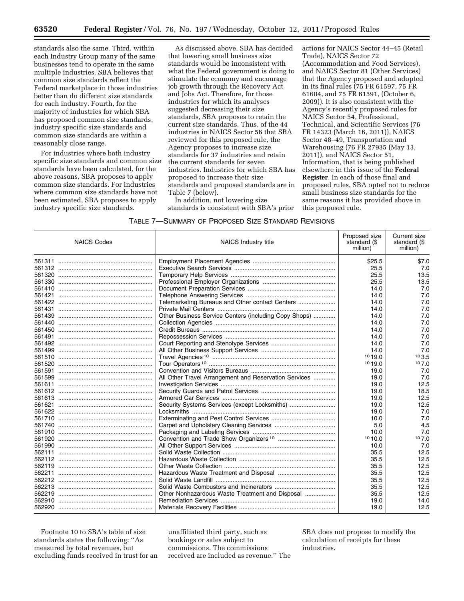standards also the same. Third, within each Industry Group many of the same businesses tend to operate in the same multiple industries. SBA believes that common size standards reflect the Federal marketplace in those industries better than do different size standards for each industry. Fourth, for the majority of industries for which SBA has proposed common size standards, industry specific size standards and common size standards are within a reasonably close range.

For industries where both industry specific size standards and common size standards have been calculated, for the above reasons, SBA proposes to apply common size standards. For industries where common size standards have not been estimated, SBA proposes to apply industry specific size standards.

As discussed above, SBA has decided that lowering small business size standards would be inconsistent with what the Federal government is doing to stimulate the economy and encourage job growth through the Recovery Act and Jobs Act. Therefore, for those industries for which its analyses suggested decreasing their size standards, SBA proposes to retain the current size standards. Thus, of the 44 industries in NAICS Sector 56 that SBA reviewed for this proposed rule, the Agency proposes to increase size standards for 37 industries and retain the current standards for seven industries. Industries for which SBA has proposed to increase their size standards and proposed standards are in Table 7 (below).

In addition, not lowering size standards is consistent with SBA's prior

actions for NAICS Sector 44–45 (Retail Trade), NAICS Sector 72 (Accommodation and Food Services), and NAICS Sector 81 (Other Services) that the Agency proposed and adopted in its final rules (75 FR 61597, 75 FR 61604, and 75 FR 61591, (October 6, 2009)). It is also consistent with the Agency's recently proposed rules for NAICS Sector 54, Professional, Technical, and Scientific Services (76 FR 14323 (March 16, 2011)), NAICS Sector 48–49, Transportation and Warehousing (76 FR 27935 (May 13, 2011)), and NAICS Sector 51, Information, that is being published elsewhere in this issue of the **Federal Register**. In each of those final and proposed rules, SBA opted not to reduce small business size standards for the same reasons it has provided above in this proposed rule.

| TABLE 7-SUMMARY OF PROPOSED SIZE STANDARD REVISIONS |
|-----------------------------------------------------|
|-----------------------------------------------------|

| <b>NAICS Codes</b> | NAICS Industry title                                  | Proposed size<br>standard (\$<br>million) | Current size<br>standard (\$<br>million) |
|--------------------|-------------------------------------------------------|-------------------------------------------|------------------------------------------|
|                    |                                                       | \$25.5                                    | \$7.0                                    |
|                    |                                                       | 25.5                                      | 7.0                                      |
|                    |                                                       | 25.5                                      | 13.5                                     |
|                    |                                                       | 25.5                                      | 13.5                                     |
|                    |                                                       | 14.0                                      | 7.0                                      |
|                    |                                                       | 14.0                                      | 7.0                                      |
|                    | Telemarketing Bureaus and Other contact Centers       | 14.0                                      | 7.0                                      |
|                    |                                                       | 14.0                                      | 7.0                                      |
|                    | Other Business Service Centers (including Copy Shops) | 14.0                                      | 7.0                                      |
|                    |                                                       | 14.0                                      | 7.0                                      |
|                    |                                                       | 14.0                                      | 7.0                                      |
|                    |                                                       | 14.0                                      | 7.0                                      |
|                    |                                                       | 14.0                                      | 7.0                                      |
|                    |                                                       | 14.0                                      | 7.0                                      |
|                    |                                                       | 1019.0                                    | 103.5                                    |
|                    |                                                       | 1019.0                                    | 107.0                                    |
|                    |                                                       | 19.0                                      | 7.0                                      |
|                    | All Other Travel Arrangement and Reservation Services | 19.0                                      | 7.0                                      |
|                    |                                                       | 19.0                                      | 12.5                                     |
|                    |                                                       | 19.0                                      | 18.5                                     |
|                    |                                                       | 19.0                                      | 12.5                                     |
|                    | Security Systems Services (except Locksmiths)         | 19.0                                      | 12.5                                     |
|                    |                                                       | 19.0                                      | 7.0                                      |
|                    |                                                       | 10.0                                      | 7.0                                      |
|                    |                                                       | 5.0                                       | 4.5                                      |
|                    |                                                       | 10.0                                      | 7.0                                      |
|                    |                                                       | 1010.0                                    | 107.0                                    |
|                    |                                                       | 10.0                                      | 7.0                                      |
|                    |                                                       | 35.5                                      | 12.5                                     |
|                    |                                                       | 35.5                                      | 12.5                                     |
|                    |                                                       | 35.5                                      | 12.5                                     |
|                    |                                                       | 35.5                                      | 12.5                                     |
|                    |                                                       | 35.5                                      | 12.5                                     |
|                    |                                                       | 35.5                                      | 12.5                                     |
|                    | Other Nonhazardous Waste Treatment and Disposal       | 35.5                                      | 12.5                                     |
|                    |                                                       | 19.0                                      | 14.0                                     |
|                    |                                                       | 19.0                                      | 12.5                                     |

Footnote 10 to SBA's table of size standards states the following: ''As measured by total revenues, but excluding funds received in trust for an

unaffiliated third party, such as bookings or sales subject to commissions. The commissions received are included as revenue.'' The

SBA does not propose to modify the calculation of receipts for these industries.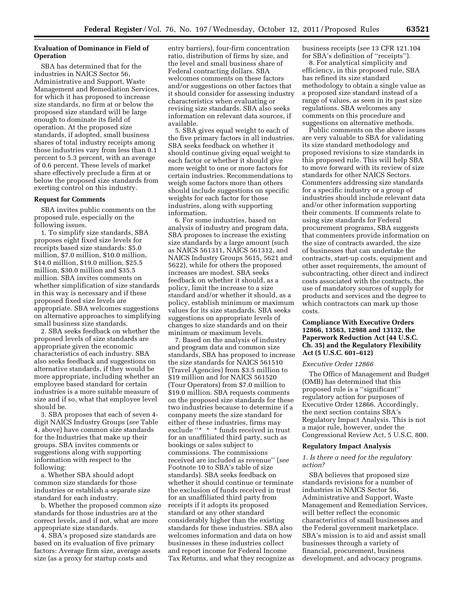# **Evaluation of Dominance in Field of Operation**

SBA has determined that for the industries in NAICS Sector 56, Administrative and Support, Waste Management and Remediation Services, for which it has proposed to increase size standards, no firm at or below the proposed size standard will be large enough to dominate its field of operation. At the proposed size standards, if adopted, small business shares of total industry receipts among those industries vary from less than 0.1 percent to 5.3 percent, with an average of 0.6 percent. These levels of market share effectively preclude a firm at or below the proposed size standards from exerting control on this industry.

### **Request for Comments**

SBA invites public comments on the proposed rule, especially on the following issues.

1. To simplify size standards, SBA proposes eight fixed size levels for receipts based size standards: \$5.0 million, \$7.0 million, \$10.0 million, \$14.0 million, \$19.0 million, \$25.5 million, \$30.0 million and \$35.5 million. SBA invites comments on whether simplification of size standards in this way is necessary and if these proposed fixed size levels are appropriate. SBA welcomes suggestions on alternative approaches to simplifying small business size standards.

2. SBA seeks feedback on whether the proposed levels of size standards are appropriate given the economic characteristics of each industry. SBA also seeks feedback and suggestions on alternative standards, if they would be more appropriate, including whether an employee based standard for certain industries is a more suitable measure of size and if so, what that employee level should be.

3. SBA proposes that each of seven 4 digit NAICS Industry Groups (*see* Table 4, above) have common size standards for the Industries that make up their groups. SBA invites comments or suggestions along with supporting information with respect to the following:

a. Whether SBA should adopt common size standards for those industries or establish a separate size standard for each industry.

b. Whether the proposed common size standards for those industries are at the correct levels, and if not, what are more appropriate size standards.

4. SBA's proposed size standards are based on its evaluation of five primary factors: Average firm size, average assets size (as a proxy for startup costs and

entry barriers), four-firm concentration ratio, distribution of firms by size, and the level and small business share of Federal contracting dollars. SBA welcomes comments on these factors and/or suggestions on other factors that it should consider for assessing industry characteristics when evaluating or revising size standards. SBA also seeks information on relevant data sources, if available.

5. SBA gives equal weight to each of the five primary factors in all industries. SBA seeks feedback on whether it should continue giving equal weight to each factor or whether it should give more weight to one or more factors for certain industries. Recommendations to weigh some factors more than others should include suggestions on specific weights for each factor for those industries, along with supporting information.

6. For some industries, based on analysis of industry and program data, SBA proposes to increase the existing size standards by a large amount (such as NAICS 561311, NAICS 561312, and NAICS Industry Groups 5615, 5621 and 5622), while for others the proposed increases are modest. SBA seeks feedback on whether it should, as a policy, limit the increase to a size standard and/or whether it should, as a policy, establish minimum or maximum values for its size standards. SBA seeks suggestions on appropriate levels of changes to size standards and on their minimum or maximum levels.

7. Based on the analysis of industry and program data and common size standards, SBA has proposed to increase the size standards for NAICS 561510 (Travel Agencies) from \$3.5 million to \$19 million and for NAICS 561520 (Tour Operators) from \$7.0 million to \$19.0 million. SBA requests comments on the proposed size standards for these two industries because to determine if a company meets the size standard for either of these industries, firms may exclude "\* \* \* funds received in trust for an unaffiliated third party, such as bookings or sales subject to commissions. The commissions received are included as revenue'' (*see*  Footnote 10 to SBA's table of size standards). SBA seeks feedback on whether it should continue or terminate the exclusion of funds received in trust for an unaffiliated third party from receipts if it adopts its proposed standard or any other standard considerably higher than the existing standards for these industries. SBA also welcomes information and data on how businesses in these industries collect and report income for Federal Income Tax Returns, and what they recognize as business receipts (*see* 13 CFR 121.104 for SBA's definition of ''receipts'').

8. For analytical simplicity and efficiency, in this proposed rule, SBA has refined its size standard methodology to obtain a single value as a proposed size standard instead of a range of values, as seen in its past size regulations. SBA welcomes any comments on this procedure and suggestions on alternative methods.

Public comments on the above issues are very valuable to SBA for validating its size standard methodology and proposed revisions to size standards in this proposed rule. This will help SBA to move forward with its review of size standards for other NAICS Sectors. Commenters addressing size standards for a specific industry or a group of industries should include relevant data and/or other information supporting their comments. If comments relate to using size standards for Federal procurement programs, SBA suggests that commenters provide information on the size of contracts awarded, the size of businesses that can undertake the contracts, start-up costs, equipment and other asset requirements, the amount of subcontracting, other direct and indirect costs associated with the contracts, the use of mandatory sources of supply for products and services and the degree to which contractors can mark up those costs.

# **Compliance With Executive Orders 12866, 13563, 12988 and 13132, the Paperwork Reduction Act (44 U.S.C. Ch. 35) and the Regulatory Flexibility Act (5 U.S.C. 601–612)**

#### *Executive Order 12866*

The Office of Management and Budget (OMB) has determined that this proposed rule is a ''significant'' regulatory action for purposes of Executive Order 12866. Accordingly, the next section contains SBA's Regulatory Impact Analysis. This is not a major rule, however, under the Congressional Review Act, 5 U.S.C. 800.

### **Regulatory Impact Analysis**

### *1. Is there a need for the regulatory action?*

SBA believes that proposed size standards revisions for a number of industries in NAICS Sector 56, Administrative and Support, Waste Management and Remediation Services, will better reflect the economic characteristics of small businesses and the Federal government marketplace. SBA's mission is to aid and assist small businesses through a variety of financial, procurement, business development, and advocacy programs.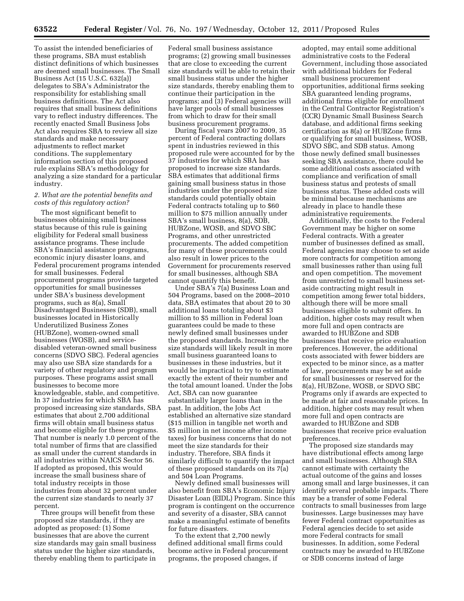To assist the intended beneficiaries of these programs, SBA must establish distinct definitions of which businesses are deemed small businesses. The Small Business Act (15 U.S.C. 632(a)) delegates to SBA's Administrator the responsibility for establishing small business definitions. The Act also requires that small business definitions vary to reflect industry differences. The recently enacted Small Business Jobs Act also requires SBA to review all size standards and make necessary adjustments to reflect market conditions. The supplementary information section of this proposed rule explains SBA's methodology for analyzing a size standard for a particular industry.

### *2. What are the potential benefits and costs of this regulatory action?*

The most significant benefit to businesses obtaining small business status because of this rule is gaining eligibility for Federal small business assistance programs. These include SBA's financial assistance programs, economic injury disaster loans, and Federal procurement programs intended for small businesses. Federal procurement programs provide targeted opportunities for small businesses under SBA's business development programs, such as 8(a), Small Disadvantaged Businesses (SDB), small businesses located in Historically Underutilized Business Zones (HUBZone), women-owned small businesses (WOSB), and servicedisabled veteran-owned small business concerns (SDVO SBC). Federal agencies may also use SBA size standards for a variety of other regulatory and program purposes. These programs assist small businesses to become more knowledgeable, stable, and competitive. In 37 industries for which SBA has proposed increasing size standards, SBA estimates that about 2,700 additional firms will obtain small business status and become eligible for these programs. That number is nearly 1.0 percent of the total number of firms that are classified as small under the current standards in all industries within NAICS Sector 56. If adopted as proposed, this would increase the small business share of total industry receipts in those industries from about 32 percent under the current size standards to nearly 37 percent.

Three groups will benefit from these proposed size standards, if they are adopted as proposed: (1) Some businesses that are above the current size standards may gain small business status under the higher size standards, thereby enabling them to participate in

Federal small business assistance programs; (2) growing small businesses that are close to exceeding the current size standards will be able to retain their small business status under the higher size standards, thereby enabling them to continue their participation in the programs; and (3) Federal agencies will have larger pools of small businesses from which to draw for their small business procurement programs.

During fiscal years 2007 to 2009, 35 percent of Federal contracting dollars spent in industries reviewed in this proposed rule were accounted for by the 37 industries for which SBA has proposed to increase size standards. SBA estimates that additional firms gaining small business status in those industries under the proposed size standards could potentially obtain Federal contracts totaling up to \$60 million to \$75 million annually under SBA's small business, 8(a), SDB, HUBZone, WOSB, and SDVO SBC Programs, and other unrestricted procurements. The added competition for many of these procurements could also result in lower prices to the Government for procurements reserved for small businesses, although SBA cannot quantify this benefit.

Under SBA's 7(a) Business Loan and 504 Programs, based on the 2008–2010 data, SBA estimates that about 20 to 30 additional loans totaling about \$3 million to \$5 million in Federal loan guarantees could be made to these newly defined small businesses under the proposed standards. Increasing the size standards will likely result in more small business guaranteed loans to businesses in these industries, but it would be impractical to try to estimate exactly the extent of their number and the total amount loaned. Under the Jobs Act, SBA can now guarantee substantially larger loans than in the past. In addition, the Jobs Act established an alternative size standard (\$15 million in tangible net worth and \$5 million in net income after income taxes) for business concerns that do not meet the size standards for their industry. Therefore, SBA finds it similarly difficult to quantify the impact of these proposed standards on its 7(a) and 504 Loan Programs.

Newly defined small businesses will also benefit from SBA's Economic Injury Disaster Loan (EIDL) Program. Since this program is contingent on the occurrence and severity of a disaster, SBA cannot make a meaningful estimate of benefits for future disasters.

To the extent that 2,700 newly defined additional small firms could become active in Federal procurement programs, the proposed changes, if

adopted, may entail some additional administrative costs to the Federal Government, including those associated with additional bidders for Federal small business procurement opportunities, additional firms seeking SBA guaranteed lending programs, additional firms eligible for enrollment in the Central Contractor Registration's (CCR) Dynamic Small Business Search database, and additional firms seeking certification as 8(a) or HUBZone firms or qualifying for small business, WOSB, SDVO SBC, and SDB status. Among those newly defined small businesses seeking SBA assistance, there could be some additional costs associated with compliance and verification of small business status and protests of small business status. These added costs will be minimal because mechanisms are already in place to handle these administrative requirements.

Additionally, the costs to the Federal Government may be higher on some Federal contracts. With a greater number of businesses defined as small, Federal agencies may choose to set aside more contracts for competition among small businesses rather than using full and open competition. The movement from unrestricted to small business setaside contracting might result in competition among fewer total bidders, although there will be more small businesses eligible to submit offers. In addition, higher costs may result when more full and open contracts are awarded to HUBZone and SDB businesses that receive price evaluation preferences. However, the additional costs associated with fewer bidders are expected to be minor since, as a matter of law, procurements may be set aside for small businesses or reserved for the 8(a), HUBZone, WOSB, or SDVO SBC Programs only if awards are expected to be made at fair and reasonable prices. In addition, higher costs may result when more full and open contracts are awarded to HUBZone and SDB businesses that receive price evaluation preferences.

The proposed size standards may have distributional effects among large and small businesses. Although SBA cannot estimate with certainty the actual outcome of the gains and losses among small and large businesses, it can identify several probable impacts. There may be a transfer of some Federal contracts to small businesses from large businesses. Large businesses may have fewer Federal contract opportunities as Federal agencies decide to set aside more Federal contracts for small businesses. In addition, some Federal contracts may be awarded to HUBZone or SDB concerns instead of large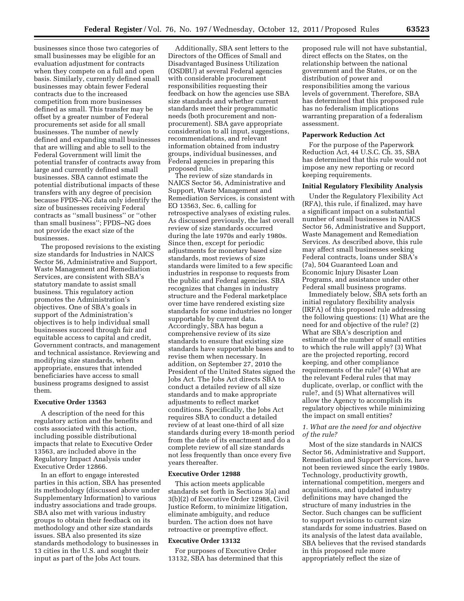businesses since those two categories of small businesses may be eligible for an evaluation adjustment for contracts when they compete on a full and open basis. Similarly, currently defined small businesses may obtain fewer Federal contracts due to the increased competition from more businesses defined as small. This transfer may be offset by a greater number of Federal procurements set aside for all small businesses. The number of newly defined and expanding small businesses that are willing and able to sell to the Federal Government will limit the potential transfer of contracts away from large and currently defined small businesses. SBA cannot estimate the potential distributional impacts of these transfers with any degree of precision because FPDS–NG data only identify the size of businesses receiving Federal contracts as ''small business'' or ''other than small business''; FPDS–NG does not provide the exact size of the businesses.

The proposed revisions to the existing size standards for Industries in NAICS Sector 56, Administrative and Support, Waste Management and Remediation Services, are consistent with SBA's statutory mandate to assist small business. This regulatory action promotes the Administration's objectives. One of SBA's goals in support of the Administration's objectives is to help individual small businesses succeed through fair and equitable access to capital and credit, Government contracts, and management and technical assistance. Reviewing and modifying size standards, when appropriate, ensures that intended beneficiaries have access to small business programs designed to assist them.

#### **Executive Order 13563**

A description of the need for this regulatory action and the benefits and costs associated with this action, including possible distributional impacts that relate to Executive Order 13563, are included above in the Regulatory Impact Analysis under Executive Order 12866.

In an effort to engage interested parties in this action, SBA has presented its methodology (discussed above under Supplementary Information) to various industry associations and trade groups. SBA also met with various industry groups to obtain their feedback on its methodology and other size standards issues. SBA also presented its size standards methodology to businesses in 13 cities in the U.S. and sought their input as part of the Jobs Act tours.

Additionally, SBA sent letters to the Directors of the Offices of Small and Disadvantaged Business Utilization (OSDBU) at several Federal agencies with considerable procurement responsibilities requesting their feedback on how the agencies use SBA size standards and whether current standards meet their programmatic needs (both procurement and nonprocurement). SBA gave appropriate consideration to all input, suggestions, recommendations, and relevant information obtained from industry groups, individual businesses, and Federal agencies in preparing this proposed rule.

The review of size standards in NAICS Sector 56, Administrative and Support, Waste Management and Remediation Services, is consistent with EO 13563, Sec. 6, calling for retrospective analyses of existing rules. As discussed previously, the last overall review of size standards occurred during the late 1970s and early 1980s. Since then, except for periodic adjustments for monetary based size standards, most reviews of size standards were limited to a few specific industries in response to requests from the public and Federal agencies. SBA recognizes that changes in industry structure and the Federal marketplace over time have rendered existing size standards for some industries no longer supportable by current data. Accordingly, SBA has begun a comprehensive review of its size standards to ensure that existing size standards have supportable bases and to revise them when necessary. In addition, on September 27, 2010 the President of the United States signed the Jobs Act. The Jobs Act directs SBA to conduct a detailed review of all size standards and to make appropriate adjustments to reflect market conditions. Specifically, the Jobs Act requires SBA to conduct a detailed review of at least one-third of all size standards during every 18-month period from the date of its enactment and do a complete review of all size standards not less frequently than once every five years thereafter.

# **Executive Order 12988**

This action meets applicable standards set forth in Sections 3(a) and 3(b)(2) of Executive Order 12988, Civil Justice Reform, to minimize litigation, eliminate ambiguity, and reduce burden. The action does not have retroactive or preemptive effect.

#### **Executive Order 13132**

For purposes of Executive Order 13132, SBA has determined that this

proposed rule will not have substantial, direct effects on the States, on the relationship between the national government and the States, or on the distribution of power and responsibilities among the various levels of government. Therefore, SBA has determined that this proposed rule has no federalism implications warranting preparation of a federalism assessment.

#### **Paperwork Reduction Act**

For the purpose of the Paperwork Reduction Act, 44 U.S.C. Ch. 35, SBA has determined that this rule would not impose any new reporting or record keeping requirements.

### **Initial Regulatory Flexibility Analysis**

Under the Regulatory Flexibility Act (RFA), this rule, if finalized, may have a significant impact on a substantial number of small businesses in NAICS Sector 56, Administrative and Support, Waste Management and Remediation Services. As described above, this rule may affect small businesses seeking Federal contracts, loans under SBA's (7a), 504 Guaranteed Loan and Economic Injury Disaster Loan Programs, and assistance under other Federal small business programs.

Immediately below, SBA sets forth an initial regulatory flexibility analysis (IRFA) of this proposed rule addressing the following questions: (1) What are the need for and objective of the rule? (2) What are SBA's description and estimate of the number of small entities to which the rule will apply? (3) What are the projected reporting, record keeping, and other compliance requirements of the rule? (4) What are the relevant Federal rules that may duplicate, overlap, or conflict with the rule?, and (5) What alternatives will allow the Agency to accomplish its regulatory objectives while minimizing the impact on small entities?

# *1. What are the need for and objective of the rule?*

Most of the size standards in NAICS Sector 56, Administrative and Support, Remediation and Support Services, have not been reviewed since the early 1980s. Technology, productivity growth, international competition, mergers and acquisitions, and updated industry definitions may have changed the structure of many industries in the Sector. Such changes can be sufficient to support revisions to current size standards for some industries. Based on its analysis of the latest data available, SBA believes that the revised standards in this proposed rule more appropriately reflect the size of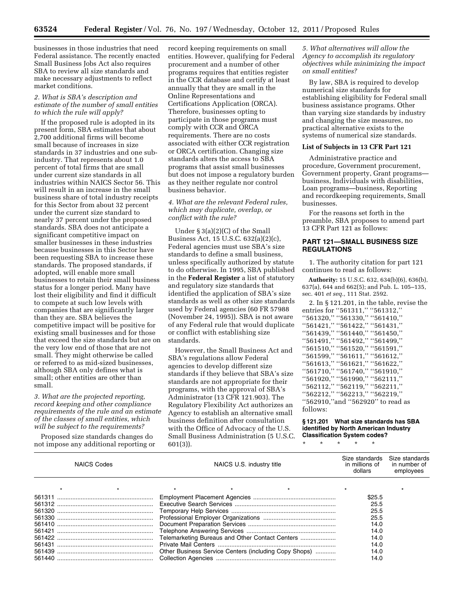businesses in those industries that need Federal assistance. The recently enacted Small Business Jobs Act also requires SBA to review all size standards and make necessary adjustments to reflect market conditions.

### *2. What is SBA's description and estimate of the number of small entities to which the rule will apply?*

If the proposed rule is adopted in its present form, SBA estimates that about 2,700 additional firms will become small because of increases in size standards in 37 industries and one subindustry. That represents about 1.0 percent of total firms that are small under current size standards in all industries within NAICS Sector 56. This will result in an increase in the small business share of total industry receipts for this Sector from about 32 percent under the current size standard to nearly 37 percent under the proposed standards. SBA does not anticipate a significant competitive impact on smaller businesses in these industries because businesses in this Sector have been requesting SBA to increase these standards. The proposed standards, if adopted, will enable more small businesses to retain their small business status for a longer period. Many have lost their eligibility and find it difficult to compete at such low levels with companies that are significantly larger than they are. SBA believes the competitive impact will be positive for existing small businesses and for those that exceed the size standards but are on the very low end of those that are not small. They might otherwise be called or referred to as mid-sized businesses, although SBA only defines what is small; other entities are other than small.

*3. What are the projected reporting, record keeping and other compliance requirements of the rule and an estimate of the classes of small entities, which will be subject to the requirements?* 

Proposed size standards changes do not impose any additional reporting or

record keeping requirements on small entities. However, qualifying for Federal procurement and a number of other programs requires that entities register in the CCR database and certify at least annually that they are small in the Online Representations and Certifications Application (ORCA). Therefore, businesses opting to participate in those programs must comply with CCR and ORCA requirements. There are no costs associated with either CCR registration or ORCA certification. Changing size standards alters the access to SBA programs that assist small businesses but does not impose a regulatory burden as they neither regulate nor control business behavior.

*4. What are the relevant Federal rules, which may duplicate, overlap, or conflict with the rule?* 

Under § 3(a)(2)(C) of the Small Business Act, 15 U.S.C. 632(a)(2)(c), Federal agencies must use SBA's size standards to define a small business, unless specifically authorized by statute to do otherwise. In 1995, SBA published in the **Federal Register** a list of statutory and regulatory size standards that identified the application of SBA's size standards as well as other size standards used by Federal agencies (60 FR 57988 (November 24, 1995)). SBA is not aware of any Federal rule that would duplicate or conflict with establishing size standards.

However, the Small Business Act and SBA's regulations allow Federal agencies to develop different size standards if they believe that SBA's size standards are not appropriate for their programs, with the approval of SBA's Administrator (13 CFR 121.903). The Regulatory Flexibility Act authorizes an Agency to establish an alternative small business definition after consultation with the Office of Advocacy of the U.S. Small Business Administration (5 U.S.C. 601(3)).

### *5. What alternatives will allow the Agency to accomplish its regulatory objectives while minimizing the impact on small entities?*

By law, SBA is required to develop numerical size standards for establishing eligibility for Federal small business assistance programs. Other than varying size standards by industry and changing the size measures, no practical alternative exists to the systems of numerical size standards.

## **List of Subjects in 13 CFR Part 121**

Administrative practice and procedure, Government procurement, Government property, Grant programs business, Individuals with disabilities, Loan programs—business, Reporting and recordkeeping requirements, Small businesses.

For the reasons set forth in the preamble, SBA proposes to amend part 13 CFR Part 121 as follows:

# **PART 121—SMALL BUSINESS SIZE REGULATIONS**

1. The authority citation for part 121 continues to read as follows:

**Authority:** 15 U.S.C. 632, 634(b)(6), 636(b), 637(a), 644 and 662(5); and Pub. L. 105–135, sec. 401 *et seq.,* 111 Stat. 2592.

2. In § 121.201, in the table, revise the entries for ''561311,'' ''561312,'' ''561320,'' ''561330,'' ''561410,'' ''561421,'' ''561422,'' ''561431,'' ''561439,'' ''561440,'' ''561450,'' ''561491,'' ''561492,'' ''561499,'' ''561510,'' ''561520,'' ''561591,'' ''561599,'' ''561611,'' ''561612,'' ''561613,'' ''561621,'' ''561622,'' ''561710,'' ''561740,'' ''561910,'' ''561920,'' ''561990,'' ''562111,'' ''562112,'' ''562119,'' ''562211,'' ''562212,'' ''562213,'' ''562219,'' ''562910,''and ''562920'' to read as follows:

### **§ 121.201 What size standards has SBA identified by North American Industry Classification System codes?**

\* \* \* \* \*

| <b>NAICS Codes</b> |  |  | NAICS U.S. industry title |                                                 |                                                       | Size standards<br>in millions of<br>dollars | Size standards<br>in number of<br>employees |
|--------------------|--|--|---------------------------|-------------------------------------------------|-------------------------------------------------------|---------------------------------------------|---------------------------------------------|
|                    |  |  |                           |                                                 |                                                       |                                             |                                             |
|                    |  |  |                           |                                                 | \$25.5                                                |                                             |                                             |
|                    |  |  |                           |                                                 | 25.5                                                  |                                             |                                             |
|                    |  |  |                           |                                                 |                                                       | 25.5                                        |                                             |
|                    |  |  |                           |                                                 | 25.5                                                  |                                             |                                             |
|                    |  |  |                           |                                                 | 14.0                                                  |                                             |                                             |
|                    |  |  |                           |                                                 | 14.0                                                  |                                             |                                             |
|                    |  |  |                           | Telemarketing Bureaus and Other Contact Centers | 14.0                                                  |                                             |                                             |
|                    |  |  |                           |                                                 |                                                       | 14.0                                        |                                             |
|                    |  |  |                           |                                                 | Other Business Service Centers (including Copy Shops) | 14.0                                        |                                             |
|                    |  |  |                           |                                                 |                                                       | 14.0                                        |                                             |